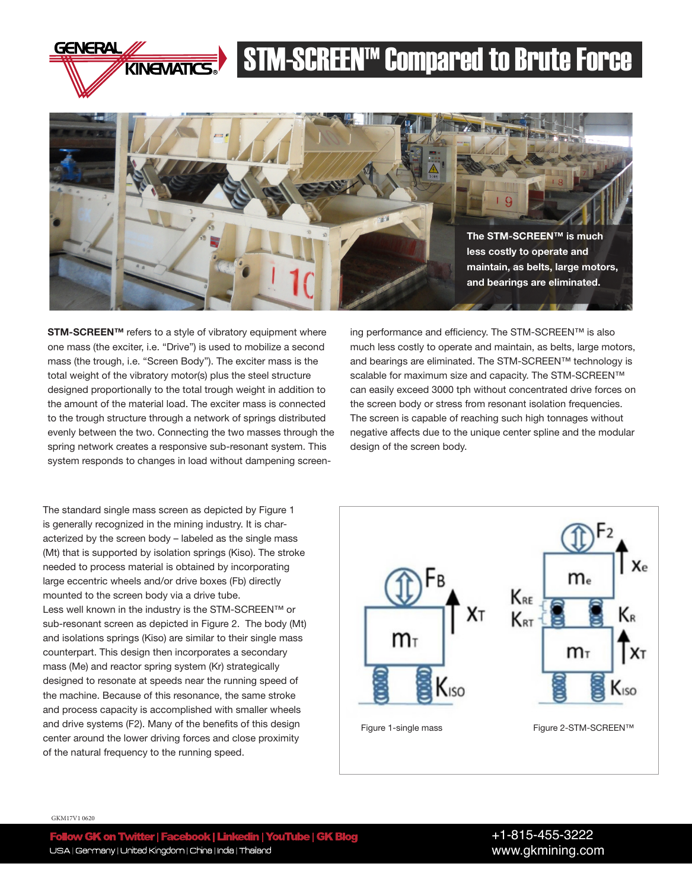

## **STM-SCREEN<sup>TM</sup> Compared to Brute Force**



STM-SCREEN™ refers to a style of vibratory equipment where one mass (the exciter, i.e. "Drive") is used to mobilize a second mass (the trough, i.e. "Screen Body"). The exciter mass is the total weight of the vibratory motor(s) plus the steel structure designed proportionally to the total trough weight in addition to the amount of the material load. The exciter mass is connected to the trough structure through a network of springs distributed evenly between the two. Connecting the two masses through the spring network creates a responsive sub-resonant system. This system responds to changes in load without dampening screening performance and efficiency. The STM-SCREEN™ is also much less costly to operate and maintain, as belts, large motors, and bearings are eliminated. The STM-SCREEN™ technology is scalable for maximum size and capacity. The STM-SCREEN™ can easily exceed 3000 tph without concentrated drive forces on the screen body or stress from resonant isolation frequencies. The screen is capable of reaching such high tonnages without negative affects due to the unique center spline and the modular design of the screen body.

The standard single mass screen as depicted by Figure 1 is generally recognized in the mining industry. It is characterized by the screen body – labeled as the single mass (Mt) that is supported by isolation springs (Kiso). The stroke needed to process material is obtained by incorporating large eccentric wheels and/or drive boxes (Fb) directly mounted to the screen body via a drive tube. Less well known in the industry is the STM-SCREEN™ or sub-resonant screen as depicted in Figure 2. The body (Mt) and isolations springs (Kiso) are similar to their single mass counterpart. This design then incorporates a secondary mass (Me) and reactor spring system (Kr) strategically designed to resonate at speeds near the running speed of the machine. Because of this resonance, the same stroke and process capacity is accomplished with smaller wheels and drive systems (F2). Many of the benefits of this design center around the lower driving forces and close proximity of the natural frequency to the running speed.